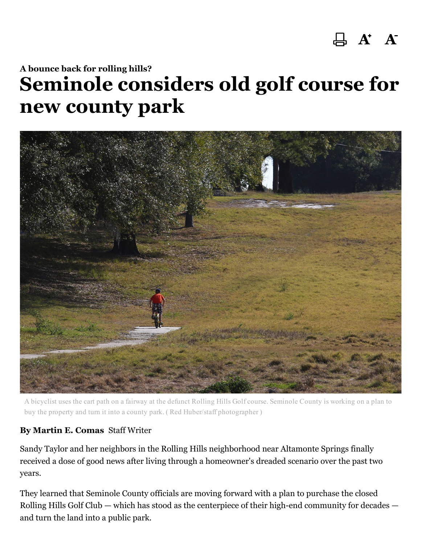## $A$   $A'$

## A bounce back for rolling hills? Seminole considers old golf course for new county park



A bicyclist uses the cart path on a fairway at the defunct Rolling Hills Golf course. Seminole County is working on a plan to buy the property and turn it into a county park. ( Red Huber/staff photographer )

## By Martin E. Comas Staff Writer

Sandy Taylor and her neighbors in the Rolling Hills neighborhood near Altamonte Springs finally received a dose of good news after living through a homeowner's dreaded scenario over the past two years.

They learned that Seminole County officials are moving forward with a plan to purchase the closed Rolling Hills Golf Club — which has stood as the centerpiece of their high-end community for decades and turn the land into a public park.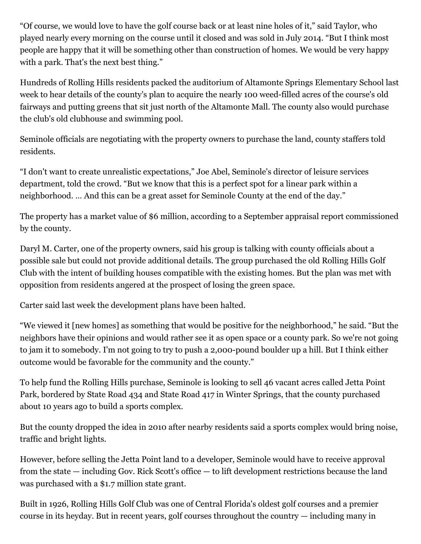"Of course, we would love to have the golf course back or at least nine holes of it," said Taylor, who played nearly every morning on the course until it closed and was sold in July 2014. "But I think most people are happy that it will be something other than construction of homes. We would be very happy with a park. That's the next best thing."

Hundreds of Rolling Hills residents packed the auditorium of Altamonte Springs Elementary School last week to hear details of the county's plan to acquire the nearly 100 weed-filled acres of the course's old fairways and putting greens that sit just north of the Altamonte Mall. The county also would purchase the club's old clubhouse and swimming pool.

Seminole officials are negotiating with the property owners to purchase the land, county staffers told residents.

"I don't want to create unrealistic expectations," Joe Abel, Seminole's director of leisure services department, told the crowd. "But we know that this is a perfect spot for a linear park within a neighborhood. … And this can be a great asset for Seminole County at the end of the day."

The property has a market value of \$6 million, according to a September appraisal report commissioned by the county.

Daryl M. Carter, one of the property owners, said his group is talking with county officials about a possible sale but could not provide additional details. The group purchased the old Rolling Hills Golf Club with the intent of building houses compatible with the existing homes. But the plan was met with opposition from residents angered at the prospect of losing the green space.

Carter said last week the development plans have been halted.

"We viewed it [new homes] as something that would be positive for the neighborhood," he said. "But the neighbors have their opinions and would rather see it as open space or a county park. So we're not going to jam it to somebody. I'm not going to try to push a 2,000-pound boulder up a hill. But I think either outcome would be favorable for the community and the county."

To help fund the Rolling Hills purchase, Seminole is looking to sell 46 vacant acres called Jetta Point Park, bordered by State Road 434 and State Road 417 in Winter Springs, that the county purchased about 10 years ago to build a sports complex.

But the county dropped the idea in 2010 after nearby residents said a sports complex would bring noise, traffic and bright lights.

However, before selling the Jetta Point land to a developer, Seminole would have to receive approval from the state — including Gov. Rick Scott's office — to lift development restrictions because the land was purchased with a \$1.7 million state grant.

Built in 1926, Rolling Hills Golf Club was one of Central Florida's oldest golf courses and a premier course in its heyday. But in recent years, golf courses throughout the country — including many in